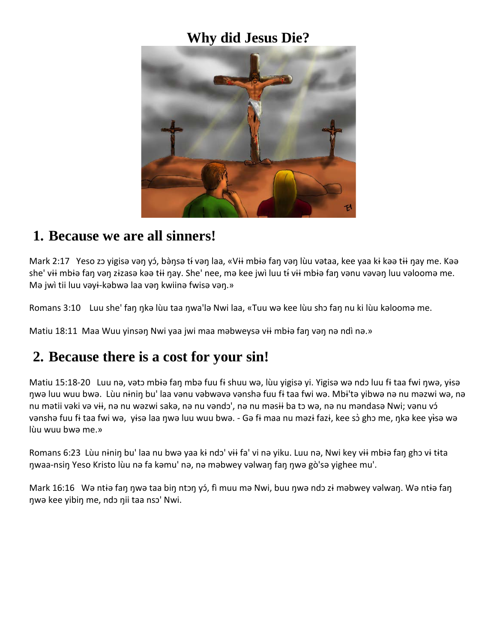### **Why did Jesus Die?**



#### **1. Because we are all sinners!**

Mark 2:17 Yeso zɔ yigisə vəŋ yɔ́, bə̀ŋsə tɨ vəŋ laa, «Vɨi mbɨə faŋ vəŋ lùu vətaa, kee yaa kɨ kəə tɨi ŋay me. Kəə she' vii mbiə fan vən zizasə kəə tii nay. She' nee, mə kee jwì luu ti vii mbiə fan vənu vəvən luu vəloomə me. Mə jwì tii luu vəyɨ-kəbwə laa vəŋ kwiinə fwisə vəŋ.»

Romans 3:10 Luu she' faŋ ŋkə lùu taa ŋwa'lə Nwi laa, «Tuu wə kee lùu shɔ faŋ nu ki lùu kəloomə me.

Matiu 18:11 Maa Wuu yinsən Nwi yaa jwi maa məbweysə vii mbiə fan vən nə ndì nə.»

### **2. Because there is a cost for your sin!**

Matiu 15:18-20 Luu nə, vətɔ mbɨə faŋ mbə fuu fɨ shuu wə, lùu yigisə yi. Yigisə wə ndɔ luu fɨ taa fwi ŋwə, yɨsə ŋwə luu wuu bwə. Lùu nɨniŋ bu' laa vənu vəbwəvə vənshə fuu fɨ taa fwi wə. Mbɨ'tə yibwə nə nu məzwi wə, nə nu mətii vəki və vii, nə nu wəzwi sakə, nə nu vəndɔ', nə nu məsii ba tɔ wə, nə nu məndasə Nwi; vənu vɔ́ vənshə fuu fi taa fwi wə, yisə laa ŋwə luu wuu bwə. - Gə fi maa nu məzi fazi, kee sò ghɔ me, ŋkə kee yisə wə lùu wuu bwə me.»

Romans 6:23 Lùu nɨniŋ bu' laa nu bwə yaa kɨ ndɔ' vɨɨ fa' vi nə yiku. Luu nə, Nwi key vɨɨ mbɨə faŋ ghɔ vɨ tɨta ŋwaa-nsiŋ Yeso Kristo lùu nə fa kəmu' nə, nə məbwey vəlwaŋ faŋ ŋwə gò'sə yighee mu'.

Mark 16:16 Wə ntiə faŋ ŋwə taa biŋ ntɔŋ yɔ́, fì muu mə Nwi, buu ŋwə ndɔ zɨ məbwey vəlwaŋ. Wə ntiə faŋ ŋwə kee yibiŋ me, ndɔ ŋii taa nsɔ' Nwi.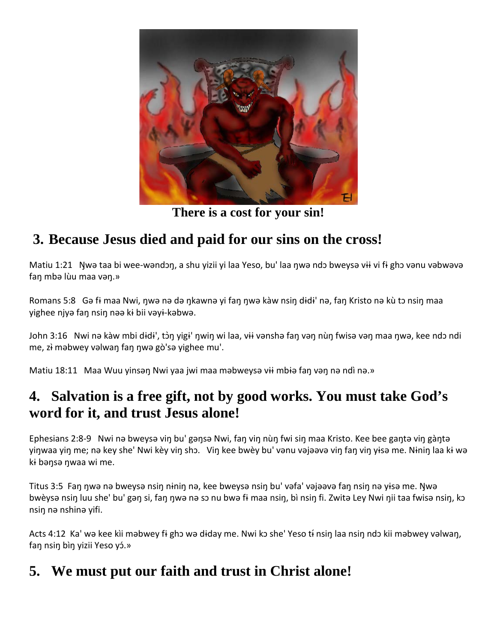

**There is a cost for your sin!**

# **3. Because Jesus died and paid for our sins on the cross!**

Matiu 1:21 Ŋwə taa bi wee-wəndɔŋ, a shu yizii yi laa Yeso, bu' laa ŋwə ndɔ bweysə vɨɨ vi fɨ ghɔ vənu vəbwəvə faŋ mbə lùu maa vəŋ.»

Romans 5:8 Gə fi maa Nwi, ŋwə nə də ŋkawnə yi faŋ ŋwə kàw nsiŋ didi' nə, faŋ Kristo nə kù tɔ nsiŋ maa yighee njyə faŋ nsiŋ nəə kɨ bii vəyɨ-kəbwə.

John 3:16 Nwi nə kàw mbi dɨdɨ', tɔ̀ŋ yigɨ' ŋwiŋ wi laa, vɨɨ vənshə faŋ vəŋ nùŋ fwisə vəŋ maa ŋwə, kee ndɔ ndi me, z<del>i</del> məbwey vəlwan fan nwə gò'sə yighee mu'.

Matiu 18:11 Maa Wuu yinsən Nwi yaa jwi maa məbweysə vii mbiə fan vən nə ndì nə.»

## **4. Salvation is a free gift, not by good works. You must take God's word for it, and trust Jesus alone!**

Ephesians 2:8-9 Nwi nə bweysə viŋ bu' gəŋsə Nwi, faŋ viŋ nùŋ fwi siŋ maa Kristo. Kee bee gaŋtə viŋ gàŋtə yiŋwaa yiŋ me; nə key she' Nwi kèy viŋ shɔ. Viŋ kee bwèy bu' vənu vəjəəvə viŋ faŋ viŋ yɨsə me. Nɨniŋ laa kɨ wə kɨ bəŋsə ŋwaa wi me.

Titus 3:5 Faŋ ŋwə nə bweysə nsiŋ nɨniŋ nə, kee bweysə nsiŋ bu' vəfa' vəjəəvə faŋ nsiŋ nə yɨsə me. Ŋwə bwèysə nsin luu she' bu' gən si, fan nwə nə sɔ nu bwə fɨ maa nsin, bì nsin fi. Zwitə Ley Nwi nii taa fwisə nsin, kɔ nsiŋ nə nshinə yifi.

Acts 4:12 Ka' wə kee kìi məbwey fi ghɔ wə diday me. Nwi kɔ she' Yeso ti nsin laa nsin ndɔ kii məbwey vəlwan, fan nsin bìn yizii Yeso yó.»

## **5. We must put our faith and trust in Christ alone!**